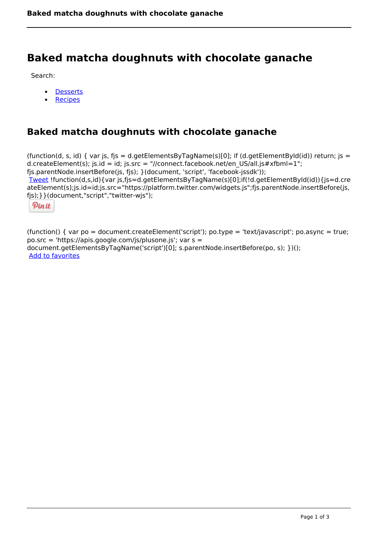# **Baked matcha doughnuts with chocolate ganache**

Search:

- **[Desserts](https://www.naturalhealthmag.com.au/nourish/desserts)**  $\bullet$
- [Recipes](https://www.naturalhealthmag.com.au/nourish/recipes)

## **Baked matcha doughnuts with chocolate ganache**

(function(d, s, id) { var js, fjs = d.getElementsByTagName(s)[0]; if (d.getElementById(id)) return; js = d.createElement(s); js.id = id; js.src = "//connect.facebook.net/en\_US/all.js#xfbml=1"; fjs.parentNode.insertBefore(js, fjs); }(document, 'script', 'facebook-jssdk')); [Tweet](https://twitter.com/share) !function(d,s,id){var js,fjs=d.getElementsByTagName(s)[0];if(!d.getElementById(id)){js=d.cre ateElement(s);js.id=id;js.src="https://platform.twitter.com/widgets.js";fjs.parentNode.insertBefore(js, fjs);}}(document,"script","twitter-wjs");

Pinit

(function() { var po = document.createElement('script'); po.type = 'text/javascript'; po.async = true; po.src = 'https://apis.google.com/js/plusone.js'; var s = document.getElementsByTagName('script')[0]; s.parentNode.insertBefore(po, s); })(); Add to favorites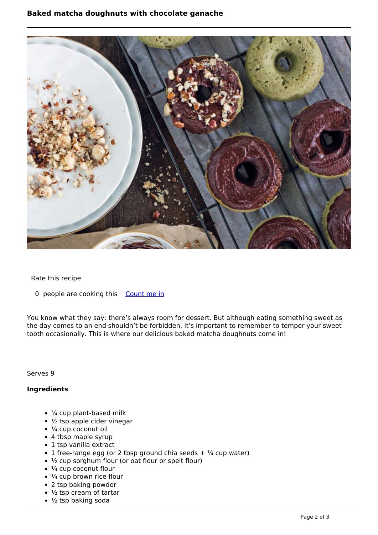### **Baked matcha doughnuts with chocolate ganache**



#### Rate this recipe

0 people are cooking this [Count me in](https://www.naturalhealthmag.com.au/flag/flag/favorites/2531?destination=printpdf%2F2531&token=f97ae4ef07be432cd3b5029c99aae2dd)

You know what they say: there's always room for dessert. But although eating something sweet as the day comes to an end shouldn't be forbidden, it's important to remember to temper your sweet tooth occasionally. This is where our delicious baked matcha doughnuts come in!

Serves 9

#### **Ingredients**

- $\cdot$   $\frac{3}{4}$  cup plant-based milk
- $\cdot$  ½ tsp apple cider vinegar
- $\cdot$   $\frac{1}{4}$  cup coconut oil
- 4 tbsp maple syrup
- 1 tsp vanilla extract
- 1 free-range egg (or 2 tbsp ground chia seeds  $+$  1/4 cup water)
- ½ cup sorghum flour (or oat flour or spelt flour)
- $\cdot$   $\frac{1}{4}$  cup coconut flour
- $\cdot$  ¼ cup brown rice flour
- 2 tsp baking powder
- $\cdot$  1/2 tsp cream of tartar
- $\cdot$  1/<sub>2</sub> tsp baking soda